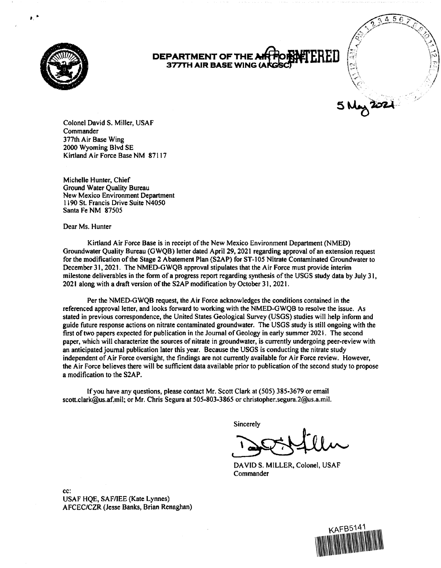

*I,* •

## **DEPARTMENT OF THE** *i* **377TH AIR BASE WING (A**



Colonel David S. Miller, USAF **Commander** 377th Air Base Wing 2000 Wyoming Blvd SE Kirtland Air Force Base NM 87117

Michelle Hunter, Chief Ground Water Quality Bureau New Mexico Environment Department 1190 St. Francis Drive Suite N4050 Santa Fe NM 87505

Dear Ms. Hunter

Kirtland Air Force Base is in receipt of the New Mexico Environment Department (NMED) Groundwater Quality Bureau (GWQB) letter dated April 29, 2021 regarding approval ofan extension request for the modification of the Stage 2 Abatement Plan (S2AP) for ST-105 Nitrate Contaminated Groundwater to December 31, 2021. The NMED-G WQB approval stipulates that the Air Force must provide interim milestone deliverables in the fonn of a progress report regarding synthesis of the USGS study data by July 31, 2021 along with a draft version of the S2AP modification by October 31, 2021.

Per the NMED-GWQB request, the Air Force acknowledges the conditions contained in the referenced approval letter, and looks forward to working with the NMED-GWQB to resolve the issue. As stated in previous correspondence, the United States Geological Survey (USGS) studies will help inform and guide future response actions on nitrate contaminated groundwater. The USGS study is still ongoing with the first of two papers expected for publication in the Journal of Geology in early summer 2021. The second paper, which will characterize the sources of nitrate in groundwater, is currently undergoing peer-review with an anticipated journal publication later this year. Because the USGS is conducting the nitrate study independent of Air Force oversight, the findings are not currently available for Air Force review. However, the Air Force believes there will be sufficient data available prior to publication of the second study to propose a modification to the S2AP.

If you have any questions, please contact Mr. Scott Clark at (505) 385-3679 or email scott.clark@us.af.mil; or Mr. Chris Segura at 505-803-3865 or christopher.segura.2@us.a.mil.

Sincerely

DAVIDS. MILLER, Colonel, USAF Commander

cc: USAF HQE, SAF/IEE (Kate Lynnes) AFCEC/CZR (Jesse Banks, Brian Renaghan)